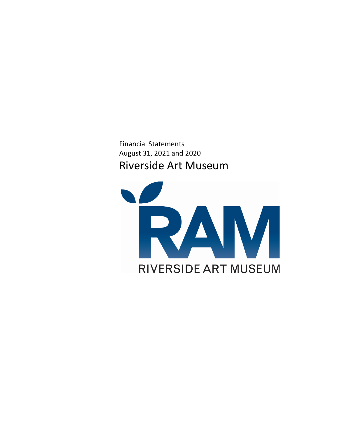Financial Statements August 31, 2021 and 2020 Riverside Art Museum

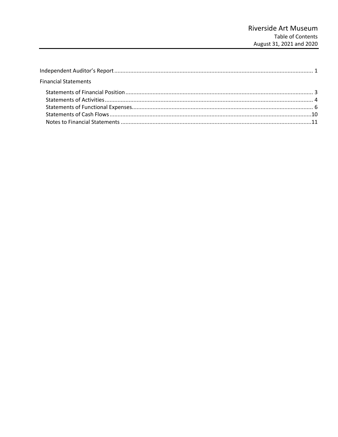| <b>Financial Statements</b> |  |
|-----------------------------|--|
|                             |  |
|                             |  |
|                             |  |
|                             |  |
|                             |  |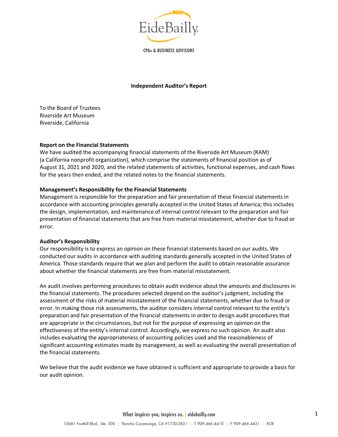

**CPAs & BUSINESS ADVISORS** 

#### **Independent Auditor's Report**

<span id="page-2-0"></span>To the Board of Trustees Riverside Art Museum Riverside, California

#### **Report on the Financial Statements**

We have audited the accompanying financial statements of the Riverside Art Museum (RAM) (a California nonprofit organization), which comprise the statements of financial position as of August 31, 2021 and 2020, and the related statements of activities, functional expenses, and cash flows for the years then ended, and the related notes to the financial statements.

#### **Management's Responsibility for the Financial Statements**

Management is responsible for the preparation and fair presentation of these financial statements in accordance with accounting principles generally accepted in the United States of America; this includes the design, implementation, and maintenance of internal control relevant to the preparation and fair presentation of financial statements that are free from material misstatement, whether due to fraud or error.

#### **Auditor's Responsibility**

Our responsibility is to express an opinion on these financial statements based on our audits. We conducted our audits in accordance with auditing standards generally accepted in the United States of America. Those standards require that we plan and perform the audit to obtain reasonable assurance about whether the financial statements are free from material misstatement.

An audit involves performing procedures to obtain audit evidence about the amounts and disclosures in the financial statements. The procedures selected depend on the auditor's judgment, including the assessment of the risks of material misstatement of the financial statements, whether due to fraud or error. In making those risk assessments, the auditor considers internal control relevant to the entity's preparation and fair presentation of the financial statements in order to design audit procedures that are appropriate in the circumstances, but not for the purpose of expressing an opinion on the effectiveness of the entity's internal control. Accordingly, we express no such opinion. An audit also includes evaluating the appropriateness of accounting policies used and the reasonableness of significant accounting estimates made by management, as well as evaluating the overall presentation of the financial statements.

We believe that the audit evidence we have obtained is sufficient and appropriate to provide a basis for our audit opinion.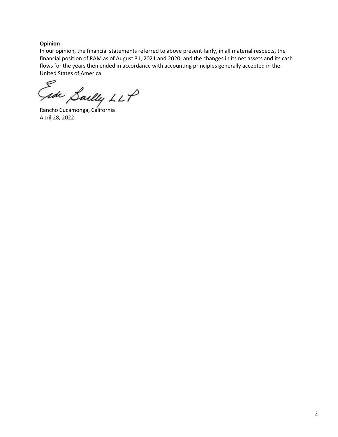### **Opinion**

In our opinion, the financial statements referred to above present fairly, in all material respects, the financial position of RAM as of August 31, 2021 and 2020, and the changes in its net assets and its cash flows for the years then ended in accordance with accounting principles generally accepted in the United States of America.

Gade Saelly LLP

April 28, 2022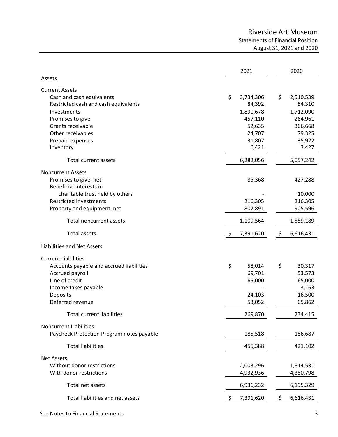# Riverside Art Museum Statements of Financial Position August 31, 2021 and 2020

<span id="page-4-1"></span><span id="page-4-0"></span>

|                                                                                                                                                                                                                                  | 2021                                                                                                  | 2020                                                                                                   |
|----------------------------------------------------------------------------------------------------------------------------------------------------------------------------------------------------------------------------------|-------------------------------------------------------------------------------------------------------|--------------------------------------------------------------------------------------------------------|
| Assets                                                                                                                                                                                                                           |                                                                                                       |                                                                                                        |
| <b>Current Assets</b><br>Cash and cash equivalents<br>Restricted cash and cash equivalents<br>Investments<br>Promises to give<br>Grants receivable<br>Other receivables<br>Prepaid expenses<br>Inventory<br>Total current assets | \$<br>3,734,306<br>84,392<br>1,890,678<br>457,110<br>52,635<br>24,707<br>31,807<br>6,421<br>6,282,056 | \$<br>2,510,539<br>84,310<br>1,712,090<br>264,961<br>366,668<br>79,325<br>35,922<br>3,427<br>5,057,242 |
|                                                                                                                                                                                                                                  |                                                                                                       |                                                                                                        |
| <b>Noncurrent Assets</b><br>Promises to give, net<br>Beneficial interests in<br>charitable trust held by others<br><b>Restricted investments</b><br>Property and equipment, net                                                  | 85,368<br>216,305<br>807,891                                                                          | 427,288<br>10,000<br>216,305<br>905,596                                                                |
| Total noncurrent assets                                                                                                                                                                                                          | 1,109,564                                                                                             | 1,559,189                                                                                              |
| <b>Total assets</b>                                                                                                                                                                                                              | 7,391,620<br>\$                                                                                       | \$<br>6,616,431                                                                                        |
| Liabilities and Net Assets                                                                                                                                                                                                       |                                                                                                       |                                                                                                        |
| <b>Current Liabilities</b><br>Accounts payable and accrued liabilities<br>Accrued payroll<br>Line of credit<br>Income taxes payable<br>Deposits<br>Deferred revenue                                                              | \$<br>58,014<br>69,701<br>65,000<br>24,103<br>53,052                                                  | \$<br>30,317<br>53,573<br>65,000<br>3,163<br>16,500<br>65,862                                          |
| <b>Total current liabilities</b>                                                                                                                                                                                                 | 269,870                                                                                               | 234,415                                                                                                |
| <b>Noncurrent Liabilities</b><br>Paycheck Protection Program notes payable<br><b>Total liabilities</b>                                                                                                                           | 185,518<br>455,388                                                                                    | 186,687<br>421,102                                                                                     |
| <b>Net Assets</b><br>Without donor restrictions<br>With donor restrictions                                                                                                                                                       | 2,003,296<br>4,932,936                                                                                | 1,814,531<br>4,380,798                                                                                 |
| Total net assets                                                                                                                                                                                                                 | 6,936,232                                                                                             | 6,195,329                                                                                              |
| Total liabilities and net assets                                                                                                                                                                                                 | 7,391,620                                                                                             | 6,616,431                                                                                              |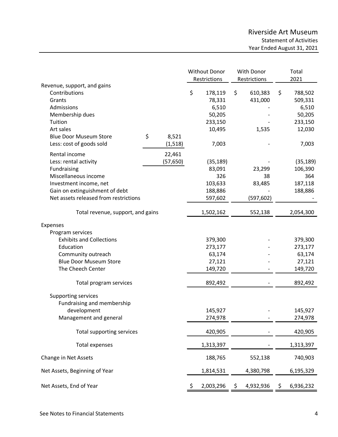<span id="page-5-0"></span>

|                                                                                                                                                                                    |                     | <b>Without Donor</b><br>Restrictions |                                                             | With Donor<br>Restrictions |                                      |    | Total<br>2021                                              |
|------------------------------------------------------------------------------------------------------------------------------------------------------------------------------------|---------------------|--------------------------------------|-------------------------------------------------------------|----------------------------|--------------------------------------|----|------------------------------------------------------------|
| Revenue, support, and gains<br>Contributions<br>Grants<br>Admissions<br>Membership dues<br>Tuition<br>Art sales<br><b>Blue Door Museum Store</b>                                   | \$<br>8,521         | \$                                   | 178,119<br>78,331<br>6,510<br>50,205<br>233,150<br>10,495   | \$                         | 610,383<br>431,000<br>1,535          | \$ | 788,502<br>509,331<br>6,510<br>50,205<br>233,150<br>12,030 |
| Less: cost of goods sold                                                                                                                                                           | (1, 518)            |                                      | 7,003                                                       |                            |                                      |    | 7,003                                                      |
| Rental income<br>Less: rental activity<br>Fundraising<br>Miscellaneous income<br>Investment income, net<br>Gain on extinguishment of debt<br>Net assets released from restrictions | 22,461<br>(57, 650) |                                      | (35, 189)<br>83,091<br>326<br>103,633<br>188,886<br>597,602 |                            | 23,299<br>38<br>83,485<br>(597, 602) |    | (35, 189)<br>106,390<br>364<br>187,118<br>188,886          |
| Total revenue, support, and gains                                                                                                                                                  |                     |                                      | 1,502,162                                                   |                            | 552,138                              |    | 2,054,300                                                  |
| Expenses<br>Program services<br><b>Exhibits and Collections</b><br>Education<br>Community outreach<br><b>Blue Door Museum Store</b><br>The Cheech Center                           |                     |                                      | 379,300<br>273,177<br>63,174<br>27,121<br>149,720           |                            |                                      |    | 379,300<br>273,177<br>63,174<br>27,121<br>149,720          |
| Total program services                                                                                                                                                             |                     |                                      | 892,492                                                     |                            |                                      |    | 892,492                                                    |
| <b>Supporting services</b><br>Fundraising and membership<br>development<br>Management and general                                                                                  |                     |                                      | 145,927<br>274,978                                          |                            |                                      |    | 145,927<br>274,978                                         |
| Total supporting services                                                                                                                                                          |                     |                                      | 420,905                                                     |                            |                                      |    | 420,905                                                    |
| <b>Total expenses</b>                                                                                                                                                              |                     |                                      | 1,313,397                                                   |                            |                                      |    | 1,313,397                                                  |
| Change in Net Assets                                                                                                                                                               |                     |                                      | 188,765                                                     |                            | 552,138                              |    | 740,903                                                    |
| Net Assets, Beginning of Year                                                                                                                                                      |                     |                                      | 1,814,531                                                   |                            | 4,380,798                            |    | 6,195,329                                                  |
| Net Assets, End of Year                                                                                                                                                            |                     | \$                                   | 2,003,296                                                   | \$.                        | 4,932,936                            | \$ | 6,936,232                                                  |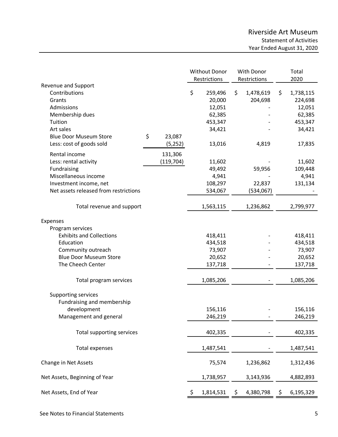|                                       |              | <b>Without Donor</b><br>Restrictions | With Donor<br>Restrictions |           | Total<br>2020   |
|---------------------------------------|--------------|--------------------------------------|----------------------------|-----------|-----------------|
| Revenue and Support                   |              |                                      |                            |           |                 |
| Contributions                         |              | \$<br>259,496                        | \$                         | 1,478,619 | \$<br>1,738,115 |
| Grants                                |              | 20,000                               |                            | 204,698   | 224,698         |
| Admissions                            |              | 12,051                               |                            |           | 12,051          |
| Membership dues                       |              | 62,385                               |                            |           | 62,385          |
| Tuition                               |              | 453,347                              |                            |           | 453,347         |
| Art sales                             |              | 34,421                               |                            |           | 34,421          |
| <b>Blue Door Museum Store</b>         | \$<br>23,087 |                                      |                            |           |                 |
| Less: cost of goods sold              | (5,252)      | 13,016                               |                            | 4,819     | 17,835          |
| Rental income                         | 131,306      |                                      |                            |           |                 |
| Less: rental activity                 | (119, 704)   | 11,602                               |                            |           | 11,602          |
| Fundraising                           |              | 49,492                               |                            | 59,956    | 109,448         |
| Miscellaneous income                  |              | 4,941                                |                            |           | 4,941           |
| Investment income, net                |              | 108,297                              |                            | 22,837    | 131,134         |
| Net assets released from restrictions |              | 534,067                              |                            | (534,067) |                 |
| Total revenue and support             |              | 1,563,115                            |                            | 1,236,862 | 2,799,977       |
| Expenses                              |              |                                      |                            |           |                 |
| Program services                      |              |                                      |                            |           |                 |
| <b>Exhibits and Collections</b>       |              | 418,411                              |                            |           | 418,411         |
| Education                             |              | 434,518                              |                            |           | 434,518         |
| Community outreach                    |              | 73,907                               |                            |           | 73,907          |
| <b>Blue Door Museum Store</b>         |              | 20,652                               |                            |           | 20,652          |
| The Cheech Center                     |              | 137,718                              |                            |           | 137,718         |
|                                       |              |                                      |                            |           |                 |
| Total program services                |              | 1,085,206                            |                            |           | 1,085,206       |
| Supporting services                   |              |                                      |                            |           |                 |
| Fundraising and membership            |              |                                      |                            |           |                 |
| development                           |              | 156,116                              |                            |           | 156,116         |
| Management and general                |              | 246,219                              |                            |           | 246,219         |
|                                       |              |                                      |                            |           |                 |
| Total supporting services             |              | 402,335                              |                            |           | 402,335         |
| <b>Total expenses</b>                 |              | 1,487,541                            |                            |           | 1,487,541       |
| Change in Net Assets                  |              | 75,574                               |                            | 1,236,862 | 1,312,436       |
| Net Assets, Beginning of Year         |              | 1,738,957                            |                            | 3,143,936 | 4,882,893       |
| Net Assets, End of Year               |              | \$<br>1,814,531                      | \$                         | 4,380,798 | \$<br>6,195,329 |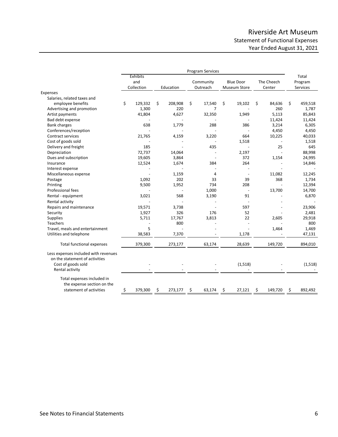<span id="page-7-0"></span>

| <b>Exhibits</b><br>Total<br><b>Blue Door</b><br>The Cheech<br>and<br>Community<br>Program<br>Collection<br>Education<br>Outreach<br>Museum Store<br>Services<br>Center<br>Expenses<br>Salaries, related taxes and<br>employee benefits<br>\$<br>\$<br>129,332<br>\$<br>208,908<br>\$<br>17,540<br>\$<br>19,102<br>\$<br>84,636<br>459,518<br>Advertising and promotion<br>1,300<br>220<br>$\overline{7}$<br>260<br>1,787<br>41,804<br>4,627<br>32,350<br>1,949<br>5,113<br>85,843<br>Artist payments<br>Bad debt expense<br>11,424<br>11,424<br>638<br>1,779<br>288<br>386<br>3,214<br><b>Bank charges</b><br>6,305<br>4,450<br>Conferences/reception<br>4,450<br>Contract services<br>664<br>10,225<br>21,765<br>3,220<br>40,033<br>4,159<br>Cost of goods sold<br>1,518<br>1,518<br>$\overline{\phantom{a}}$<br>Delivery and freight<br>435<br>25<br>645<br>185<br>72,737<br>Depreciation<br>14,064<br>2,197<br>88,998<br>$\overline{a}$<br>19,605<br>Dues and subscription<br>3,864<br>372<br>1,154<br>24,995<br>12,524<br>384<br>264<br>Insurance<br>1,674<br>14,846<br>$\overline{\phantom{a}}$<br>Interest expense<br>1,159<br>4<br>11,082<br>12,245<br>Miscellaneous expense<br>$\overline{\phantom{a}}$<br>202<br>1,092<br>33<br>39<br>368<br>1,734<br>Postage<br>1,952<br>734<br>12,394<br>Printing<br>9,500<br>208<br>$\overline{a}$<br>1,000<br><b>Professional fees</b><br>13,700<br>14,700<br>$\overline{\phantom{a}}$<br>3,021<br>568<br>3,190<br>91<br>6,870<br>Rental - equipment<br>Rental activity<br>597<br>Repairs and maintenance<br>19,571<br>3,738<br>23,906<br>326<br>1,927<br>176<br>52<br>Security<br>2,481<br>5,711<br>17,767<br>3,813<br>22<br>29,918<br><b>Supplies</b><br>2,605<br>800<br><b>Teachers</b><br>800<br>Travel, meals and entertainment<br>5<br>1,464<br>1,469<br>38,583<br>7,370<br>Utilities and telephone<br>1,178<br>47,131<br>379,300<br>28,639<br>149,720<br><b>Total functional expenses</b><br>273,177<br>63,174<br>894,010<br>Less expenses included with revenues<br>on the statement of activities<br>Cost of goods sold<br>(1, 518)<br>(1, 518)<br>Rental activity<br>Total expenses included in<br>the expense section on the<br>statement of activities<br>379,300<br>273,177<br>63,174<br>27,121<br>149,720<br>892,492<br>\$<br>\$<br>\$<br>\$<br>\$<br>\$ |  |  | Program Services |  |  |  |  |
|---------------------------------------------------------------------------------------------------------------------------------------------------------------------------------------------------------------------------------------------------------------------------------------------------------------------------------------------------------------------------------------------------------------------------------------------------------------------------------------------------------------------------------------------------------------------------------------------------------------------------------------------------------------------------------------------------------------------------------------------------------------------------------------------------------------------------------------------------------------------------------------------------------------------------------------------------------------------------------------------------------------------------------------------------------------------------------------------------------------------------------------------------------------------------------------------------------------------------------------------------------------------------------------------------------------------------------------------------------------------------------------------------------------------------------------------------------------------------------------------------------------------------------------------------------------------------------------------------------------------------------------------------------------------------------------------------------------------------------------------------------------------------------------------------------------------------------------------------------------------------------------------------------------------------------------------------------------------------------------------------------------------------------------------------------------------------------------------------------------------------------------------------------------------------------------------------------------------------------------------------------------------------------------------------------------------|--|--|------------------|--|--|--|--|
|                                                                                                                                                                                                                                                                                                                                                                                                                                                                                                                                                                                                                                                                                                                                                                                                                                                                                                                                                                                                                                                                                                                                                                                                                                                                                                                                                                                                                                                                                                                                                                                                                                                                                                                                                                                                                                                                                                                                                                                                                                                                                                                                                                                                                                                                                                                     |  |  |                  |  |  |  |  |
|                                                                                                                                                                                                                                                                                                                                                                                                                                                                                                                                                                                                                                                                                                                                                                                                                                                                                                                                                                                                                                                                                                                                                                                                                                                                                                                                                                                                                                                                                                                                                                                                                                                                                                                                                                                                                                                                                                                                                                                                                                                                                                                                                                                                                                                                                                                     |  |  |                  |  |  |  |  |
|                                                                                                                                                                                                                                                                                                                                                                                                                                                                                                                                                                                                                                                                                                                                                                                                                                                                                                                                                                                                                                                                                                                                                                                                                                                                                                                                                                                                                                                                                                                                                                                                                                                                                                                                                                                                                                                                                                                                                                                                                                                                                                                                                                                                                                                                                                                     |  |  |                  |  |  |  |  |
|                                                                                                                                                                                                                                                                                                                                                                                                                                                                                                                                                                                                                                                                                                                                                                                                                                                                                                                                                                                                                                                                                                                                                                                                                                                                                                                                                                                                                                                                                                                                                                                                                                                                                                                                                                                                                                                                                                                                                                                                                                                                                                                                                                                                                                                                                                                     |  |  |                  |  |  |  |  |
|                                                                                                                                                                                                                                                                                                                                                                                                                                                                                                                                                                                                                                                                                                                                                                                                                                                                                                                                                                                                                                                                                                                                                                                                                                                                                                                                                                                                                                                                                                                                                                                                                                                                                                                                                                                                                                                                                                                                                                                                                                                                                                                                                                                                                                                                                                                     |  |  |                  |  |  |  |  |
|                                                                                                                                                                                                                                                                                                                                                                                                                                                                                                                                                                                                                                                                                                                                                                                                                                                                                                                                                                                                                                                                                                                                                                                                                                                                                                                                                                                                                                                                                                                                                                                                                                                                                                                                                                                                                                                                                                                                                                                                                                                                                                                                                                                                                                                                                                                     |  |  |                  |  |  |  |  |
|                                                                                                                                                                                                                                                                                                                                                                                                                                                                                                                                                                                                                                                                                                                                                                                                                                                                                                                                                                                                                                                                                                                                                                                                                                                                                                                                                                                                                                                                                                                                                                                                                                                                                                                                                                                                                                                                                                                                                                                                                                                                                                                                                                                                                                                                                                                     |  |  |                  |  |  |  |  |
|                                                                                                                                                                                                                                                                                                                                                                                                                                                                                                                                                                                                                                                                                                                                                                                                                                                                                                                                                                                                                                                                                                                                                                                                                                                                                                                                                                                                                                                                                                                                                                                                                                                                                                                                                                                                                                                                                                                                                                                                                                                                                                                                                                                                                                                                                                                     |  |  |                  |  |  |  |  |
|                                                                                                                                                                                                                                                                                                                                                                                                                                                                                                                                                                                                                                                                                                                                                                                                                                                                                                                                                                                                                                                                                                                                                                                                                                                                                                                                                                                                                                                                                                                                                                                                                                                                                                                                                                                                                                                                                                                                                                                                                                                                                                                                                                                                                                                                                                                     |  |  |                  |  |  |  |  |
|                                                                                                                                                                                                                                                                                                                                                                                                                                                                                                                                                                                                                                                                                                                                                                                                                                                                                                                                                                                                                                                                                                                                                                                                                                                                                                                                                                                                                                                                                                                                                                                                                                                                                                                                                                                                                                                                                                                                                                                                                                                                                                                                                                                                                                                                                                                     |  |  |                  |  |  |  |  |
|                                                                                                                                                                                                                                                                                                                                                                                                                                                                                                                                                                                                                                                                                                                                                                                                                                                                                                                                                                                                                                                                                                                                                                                                                                                                                                                                                                                                                                                                                                                                                                                                                                                                                                                                                                                                                                                                                                                                                                                                                                                                                                                                                                                                                                                                                                                     |  |  |                  |  |  |  |  |
|                                                                                                                                                                                                                                                                                                                                                                                                                                                                                                                                                                                                                                                                                                                                                                                                                                                                                                                                                                                                                                                                                                                                                                                                                                                                                                                                                                                                                                                                                                                                                                                                                                                                                                                                                                                                                                                                                                                                                                                                                                                                                                                                                                                                                                                                                                                     |  |  |                  |  |  |  |  |
|                                                                                                                                                                                                                                                                                                                                                                                                                                                                                                                                                                                                                                                                                                                                                                                                                                                                                                                                                                                                                                                                                                                                                                                                                                                                                                                                                                                                                                                                                                                                                                                                                                                                                                                                                                                                                                                                                                                                                                                                                                                                                                                                                                                                                                                                                                                     |  |  |                  |  |  |  |  |
|                                                                                                                                                                                                                                                                                                                                                                                                                                                                                                                                                                                                                                                                                                                                                                                                                                                                                                                                                                                                                                                                                                                                                                                                                                                                                                                                                                                                                                                                                                                                                                                                                                                                                                                                                                                                                                                                                                                                                                                                                                                                                                                                                                                                                                                                                                                     |  |  |                  |  |  |  |  |
|                                                                                                                                                                                                                                                                                                                                                                                                                                                                                                                                                                                                                                                                                                                                                                                                                                                                                                                                                                                                                                                                                                                                                                                                                                                                                                                                                                                                                                                                                                                                                                                                                                                                                                                                                                                                                                                                                                                                                                                                                                                                                                                                                                                                                                                                                                                     |  |  |                  |  |  |  |  |
|                                                                                                                                                                                                                                                                                                                                                                                                                                                                                                                                                                                                                                                                                                                                                                                                                                                                                                                                                                                                                                                                                                                                                                                                                                                                                                                                                                                                                                                                                                                                                                                                                                                                                                                                                                                                                                                                                                                                                                                                                                                                                                                                                                                                                                                                                                                     |  |  |                  |  |  |  |  |
|                                                                                                                                                                                                                                                                                                                                                                                                                                                                                                                                                                                                                                                                                                                                                                                                                                                                                                                                                                                                                                                                                                                                                                                                                                                                                                                                                                                                                                                                                                                                                                                                                                                                                                                                                                                                                                                                                                                                                                                                                                                                                                                                                                                                                                                                                                                     |  |  |                  |  |  |  |  |
|                                                                                                                                                                                                                                                                                                                                                                                                                                                                                                                                                                                                                                                                                                                                                                                                                                                                                                                                                                                                                                                                                                                                                                                                                                                                                                                                                                                                                                                                                                                                                                                                                                                                                                                                                                                                                                                                                                                                                                                                                                                                                                                                                                                                                                                                                                                     |  |  |                  |  |  |  |  |
|                                                                                                                                                                                                                                                                                                                                                                                                                                                                                                                                                                                                                                                                                                                                                                                                                                                                                                                                                                                                                                                                                                                                                                                                                                                                                                                                                                                                                                                                                                                                                                                                                                                                                                                                                                                                                                                                                                                                                                                                                                                                                                                                                                                                                                                                                                                     |  |  |                  |  |  |  |  |
|                                                                                                                                                                                                                                                                                                                                                                                                                                                                                                                                                                                                                                                                                                                                                                                                                                                                                                                                                                                                                                                                                                                                                                                                                                                                                                                                                                                                                                                                                                                                                                                                                                                                                                                                                                                                                                                                                                                                                                                                                                                                                                                                                                                                                                                                                                                     |  |  |                  |  |  |  |  |
|                                                                                                                                                                                                                                                                                                                                                                                                                                                                                                                                                                                                                                                                                                                                                                                                                                                                                                                                                                                                                                                                                                                                                                                                                                                                                                                                                                                                                                                                                                                                                                                                                                                                                                                                                                                                                                                                                                                                                                                                                                                                                                                                                                                                                                                                                                                     |  |  |                  |  |  |  |  |
|                                                                                                                                                                                                                                                                                                                                                                                                                                                                                                                                                                                                                                                                                                                                                                                                                                                                                                                                                                                                                                                                                                                                                                                                                                                                                                                                                                                                                                                                                                                                                                                                                                                                                                                                                                                                                                                                                                                                                                                                                                                                                                                                                                                                                                                                                                                     |  |  |                  |  |  |  |  |
|                                                                                                                                                                                                                                                                                                                                                                                                                                                                                                                                                                                                                                                                                                                                                                                                                                                                                                                                                                                                                                                                                                                                                                                                                                                                                                                                                                                                                                                                                                                                                                                                                                                                                                                                                                                                                                                                                                                                                                                                                                                                                                                                                                                                                                                                                                                     |  |  |                  |  |  |  |  |
|                                                                                                                                                                                                                                                                                                                                                                                                                                                                                                                                                                                                                                                                                                                                                                                                                                                                                                                                                                                                                                                                                                                                                                                                                                                                                                                                                                                                                                                                                                                                                                                                                                                                                                                                                                                                                                                                                                                                                                                                                                                                                                                                                                                                                                                                                                                     |  |  |                  |  |  |  |  |
|                                                                                                                                                                                                                                                                                                                                                                                                                                                                                                                                                                                                                                                                                                                                                                                                                                                                                                                                                                                                                                                                                                                                                                                                                                                                                                                                                                                                                                                                                                                                                                                                                                                                                                                                                                                                                                                                                                                                                                                                                                                                                                                                                                                                                                                                                                                     |  |  |                  |  |  |  |  |
|                                                                                                                                                                                                                                                                                                                                                                                                                                                                                                                                                                                                                                                                                                                                                                                                                                                                                                                                                                                                                                                                                                                                                                                                                                                                                                                                                                                                                                                                                                                                                                                                                                                                                                                                                                                                                                                                                                                                                                                                                                                                                                                                                                                                                                                                                                                     |  |  |                  |  |  |  |  |
|                                                                                                                                                                                                                                                                                                                                                                                                                                                                                                                                                                                                                                                                                                                                                                                                                                                                                                                                                                                                                                                                                                                                                                                                                                                                                                                                                                                                                                                                                                                                                                                                                                                                                                                                                                                                                                                                                                                                                                                                                                                                                                                                                                                                                                                                                                                     |  |  |                  |  |  |  |  |
|                                                                                                                                                                                                                                                                                                                                                                                                                                                                                                                                                                                                                                                                                                                                                                                                                                                                                                                                                                                                                                                                                                                                                                                                                                                                                                                                                                                                                                                                                                                                                                                                                                                                                                                                                                                                                                                                                                                                                                                                                                                                                                                                                                                                                                                                                                                     |  |  |                  |  |  |  |  |
|                                                                                                                                                                                                                                                                                                                                                                                                                                                                                                                                                                                                                                                                                                                                                                                                                                                                                                                                                                                                                                                                                                                                                                                                                                                                                                                                                                                                                                                                                                                                                                                                                                                                                                                                                                                                                                                                                                                                                                                                                                                                                                                                                                                                                                                                                                                     |  |  |                  |  |  |  |  |
|                                                                                                                                                                                                                                                                                                                                                                                                                                                                                                                                                                                                                                                                                                                                                                                                                                                                                                                                                                                                                                                                                                                                                                                                                                                                                                                                                                                                                                                                                                                                                                                                                                                                                                                                                                                                                                                                                                                                                                                                                                                                                                                                                                                                                                                                                                                     |  |  |                  |  |  |  |  |
|                                                                                                                                                                                                                                                                                                                                                                                                                                                                                                                                                                                                                                                                                                                                                                                                                                                                                                                                                                                                                                                                                                                                                                                                                                                                                                                                                                                                                                                                                                                                                                                                                                                                                                                                                                                                                                                                                                                                                                                                                                                                                                                                                                                                                                                                                                                     |  |  |                  |  |  |  |  |
|                                                                                                                                                                                                                                                                                                                                                                                                                                                                                                                                                                                                                                                                                                                                                                                                                                                                                                                                                                                                                                                                                                                                                                                                                                                                                                                                                                                                                                                                                                                                                                                                                                                                                                                                                                                                                                                                                                                                                                                                                                                                                                                                                                                                                                                                                                                     |  |  |                  |  |  |  |  |
|                                                                                                                                                                                                                                                                                                                                                                                                                                                                                                                                                                                                                                                                                                                                                                                                                                                                                                                                                                                                                                                                                                                                                                                                                                                                                                                                                                                                                                                                                                                                                                                                                                                                                                                                                                                                                                                                                                                                                                                                                                                                                                                                                                                                                                                                                                                     |  |  |                  |  |  |  |  |
|                                                                                                                                                                                                                                                                                                                                                                                                                                                                                                                                                                                                                                                                                                                                                                                                                                                                                                                                                                                                                                                                                                                                                                                                                                                                                                                                                                                                                                                                                                                                                                                                                                                                                                                                                                                                                                                                                                                                                                                                                                                                                                                                                                                                                                                                                                                     |  |  |                  |  |  |  |  |
|                                                                                                                                                                                                                                                                                                                                                                                                                                                                                                                                                                                                                                                                                                                                                                                                                                                                                                                                                                                                                                                                                                                                                                                                                                                                                                                                                                                                                                                                                                                                                                                                                                                                                                                                                                                                                                                                                                                                                                                                                                                                                                                                                                                                                                                                                                                     |  |  |                  |  |  |  |  |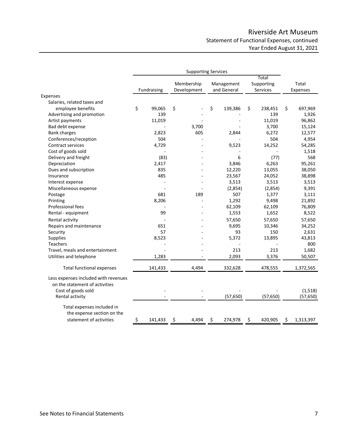# Riverside Art Museum Statement of Functional Expenses, continued Year Ended August 31, 2021

|                                                          | Membership<br>Fundraising<br>Development |                | <b>Supporting Services</b><br>Management<br>and General | Total<br>Supporting<br><b>Services</b> |           | Total<br><b>Expenses</b> |           |    |           |
|----------------------------------------------------------|------------------------------------------|----------------|---------------------------------------------------------|----------------------------------------|-----------|--------------------------|-----------|----|-----------|
| Expenses                                                 |                                          |                |                                                         |                                        |           |                          |           |    |           |
| Salaries, related taxes and                              |                                          |                |                                                         |                                        |           |                          |           |    |           |
| employee benefits                                        | \$                                       | 99,065         | \$                                                      | \$                                     | 139,386   | \$                       | 238,451   | \$ | 697,969   |
| Advertising and promotion                                |                                          | 139            |                                                         |                                        |           |                          | 139       |    | 1,926     |
| Artist payments                                          |                                          | 11,019         |                                                         |                                        |           |                          | 11,019    |    | 96,862    |
| Bad debt expense                                         |                                          |                | 3,700                                                   |                                        |           |                          | 3,700     |    | 15,124    |
| <b>Bank charges</b>                                      |                                          | 2,823          | 605                                                     |                                        | 2,844     |                          | 6,272     |    | 12,577    |
| Conferences/reception                                    |                                          | 504            |                                                         |                                        |           |                          | 504       |    | 4,954     |
| <b>Contract services</b>                                 |                                          | 4,729          |                                                         |                                        | 9,523     |                          | 14,252    |    | 54,285    |
| Cost of goods sold                                       |                                          |                |                                                         |                                        |           |                          |           |    | 1,518     |
| Delivery and freight                                     |                                          | (83)           |                                                         |                                        | 6         |                          | (77)      |    | 568       |
| Depreciation                                             |                                          | 2,417          |                                                         |                                        | 3,846     |                          | 6,263     |    | 95,261    |
| Dues and subscription                                    |                                          | 835            |                                                         |                                        | 12,220    |                          | 13,055    |    | 38,050    |
| Insurance                                                |                                          | 485            |                                                         |                                        | 23,567    |                          | 24,052    |    | 38,898    |
| Interest expense                                         |                                          |                |                                                         |                                        | 3,513     |                          | 3,513     |    | 3,513     |
| Miscellaneous expense                                    |                                          |                |                                                         |                                        | (2,854)   |                          | (2,854)   |    | 9,391     |
| Postage                                                  |                                          | 681            | 189                                                     |                                        | 507       |                          | 1,377     |    | 3,111     |
| Printing                                                 |                                          | 8,206          | L.                                                      |                                        | 1,292     |                          | 9,498     |    | 21,892    |
| Professional fees                                        |                                          | $\overline{a}$ |                                                         |                                        | 62,109    |                          | 62,109    |    | 76,809    |
| Rental - equipment                                       |                                          | 99             |                                                         |                                        | 1,553     |                          | 1,652     |    | 8,522     |
| Rental activity                                          |                                          | $\overline{a}$ |                                                         |                                        | 57,650    |                          | 57,650    |    | 57,650    |
| Repairs and maintenance                                  |                                          | 651            |                                                         |                                        | 9,695     |                          | 10,346    |    | 34,252    |
| Security                                                 |                                          | 57             |                                                         |                                        | 93        |                          | 150       |    | 2,631     |
| Supplies                                                 |                                          | 8,523          |                                                         |                                        | 5,372     |                          | 13,895    |    | 43,813    |
| Teachers                                                 |                                          |                |                                                         |                                        |           |                          |           |    | 800       |
| Travel, meals and entertainment                          |                                          |                |                                                         |                                        | 213       |                          | 213       |    | 1,682     |
| Utilities and telephone                                  |                                          | 1,283          |                                                         |                                        | 2,093     |                          | 3,376     |    | 50,507    |
| <b>Total functional expenses</b>                         |                                          | 141,433        | 4,494                                                   |                                        | 332,628   |                          | 478,555   |    | 1,372,565 |
| Less expenses included with revenues                     |                                          |                |                                                         |                                        |           |                          |           |    |           |
| on the statement of activities                           |                                          |                |                                                         |                                        |           |                          |           |    |           |
| Cost of goods sold                                       |                                          |                |                                                         |                                        |           |                          |           |    | (1, 518)  |
| Rental activity                                          |                                          |                |                                                         |                                        | (57, 650) |                          | (57, 650) |    | (57, 650) |
| Total expenses included in<br>the expense section on the |                                          |                |                                                         |                                        |           |                          |           |    |           |
| statement of activities                                  | \$                                       | 141,433        | \$<br>4,494                                             | \$                                     | 274,978   | \$                       | 420,905   | \$ | 1,313,397 |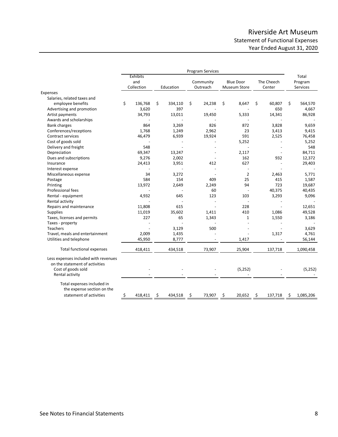| <b>Program Services</b>                                  |                                            |                |    |                                                                  |    |        |    |                          |    |                              |                 |
|----------------------------------------------------------|--------------------------------------------|----------------|----|------------------------------------------------------------------|----|--------|----|--------------------------|----|------------------------------|-----------------|
|                                                          | Exhibits<br>and<br>Collection<br>Education |                |    | Community<br><b>Blue Door</b><br>Outreach<br><b>Museum Store</b> |    |        |    | The Cheech<br>Center     |    | Total<br>Program<br>Services |                 |
| Expenses                                                 |                                            |                |    |                                                                  |    |        |    |                          |    |                              |                 |
| Salaries, related taxes and                              |                                            |                |    |                                                                  |    |        |    |                          |    |                              |                 |
| employee benefits                                        | \$                                         | 136,768        | \$ | 334,110                                                          | \$ | 24,238 | \$ | 8,647                    | \$ | 60,807                       | \$<br>564,570   |
| Advertising and promotion                                |                                            | 3,620          |    | 397                                                              |    |        |    |                          |    | 650                          | 4,667           |
| Artist payments                                          |                                            | 34,793         |    | 13,011                                                           |    | 19,450 |    | 5,333                    |    | 14,341                       | 86,928          |
| Awards and scholarships                                  |                                            |                |    |                                                                  |    |        |    |                          |    |                              |                 |
| <b>Bank charges</b>                                      |                                            | 864            |    | 3,269                                                            |    | 826    |    | 872                      |    | 3,828                        | 9,659           |
| Conferences/receptions                                   |                                            | 1,768          |    | 1,249                                                            |    | 2,962  |    | 23                       |    | 3,413                        | 9,415           |
| <b>Contract services</b>                                 |                                            | 46,479         |    | 6,939                                                            |    | 19,924 |    | 591                      |    | 2,525                        | 76,458          |
| Cost of goods sold                                       |                                            |                |    |                                                                  |    |        |    | 5,252                    |    |                              | 5,252           |
| Delivery and freight                                     |                                            | 548            |    |                                                                  |    |        |    |                          |    |                              | 548             |
| Depreciation                                             |                                            | 69,347         |    | 13,247                                                           |    |        |    | 2,117                    |    |                              | 84,711          |
| Dues and subscriptions                                   |                                            | 9,276          |    | 2,002                                                            |    |        |    | 162                      |    | 932                          | 12,372          |
| Insurance                                                |                                            | 24,413         |    | 3,951                                                            |    | 412    |    | 627                      |    |                              | 29,403          |
| Interest expense                                         |                                            | $\overline{a}$ |    | $\overline{a}$                                                   |    |        |    | $\overline{\phantom{a}}$ |    |                              |                 |
| Miscellaneous expense                                    |                                            | 34             |    | 3,272                                                            |    |        |    | 2                        |    | 2,463                        | 5,771           |
| Postage                                                  |                                            | 584            |    | 154                                                              |    | 409    |    | 25                       |    | 415                          | 1,587           |
| Printing                                                 |                                            | 13,972         |    | 2,649                                                            |    | 2,249  |    | 94                       |    | 723                          | 19,687          |
| <b>Professional fees</b>                                 |                                            |                |    |                                                                  |    | 60     |    |                          |    | 40,375                       | 40,435          |
| Rental - equipment                                       |                                            | 4,932          |    | 645                                                              |    | 123    |    | 103                      |    | 3,293                        | 9,096           |
| Rental activity                                          |                                            |                |    |                                                                  |    |        |    |                          |    |                              |                 |
| Repairs and maintenance                                  |                                            | 11,808         |    | 615                                                              |    |        |    | 228                      |    |                              | 12,651          |
| <b>Supplies</b>                                          |                                            | 11,019         |    | 35,602                                                           |    | 1,411  |    | 410                      |    | 1,086                        | 49,528          |
| Taxes, licenses and permits                              |                                            | 227            |    | 65                                                               |    | 1,343  |    | $\mathbf 1$              |    | 1,550                        | 3,186           |
| Taxes - property                                         |                                            |                |    |                                                                  |    |        |    |                          |    |                              |                 |
| <b>Teachers</b>                                          |                                            |                |    | 3,129                                                            |    | 500    |    |                          |    |                              | 3,629           |
| Travel, meals and entertainment                          |                                            | 2,009          |    | 1,435                                                            |    |        |    |                          |    | 1,317                        | 4,761           |
| Utilities and telephone                                  |                                            | 45,950         |    | 8,777                                                            |    |        |    | 1,417                    |    |                              | 56,144          |
| <b>Total functional expenses</b>                         |                                            | 418,411        |    | 434,518                                                          |    | 73,907 |    | 25,904                   |    | 137,718                      | 1,090,458       |
| Less expenses included with revenues                     |                                            |                |    |                                                                  |    |        |    |                          |    |                              |                 |
| on the statement of activities                           |                                            |                |    |                                                                  |    |        |    |                          |    |                              |                 |
| Cost of goods sold                                       |                                            |                |    |                                                                  |    |        |    | (5,252)                  |    |                              | (5,252)         |
| Rental activity                                          |                                            |                |    |                                                                  |    |        |    |                          |    |                              |                 |
| Total expenses included in<br>the expense section on the |                                            |                |    |                                                                  |    |        |    |                          |    |                              |                 |
| statement of activities                                  | \$                                         | 418,411        | \$ | 434,518                                                          | \$ | 73,907 | \$ | 20,652                   | \$ | 137,718                      | \$<br>1,085,206 |
|                                                          |                                            |                |    |                                                                  |    |        |    |                          |    |                              |                 |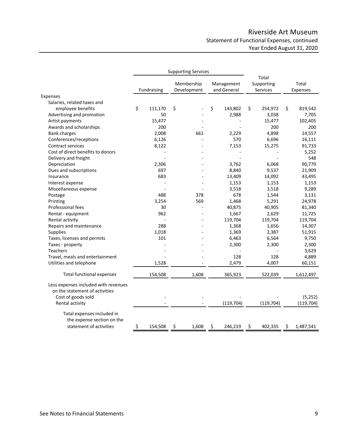# Riverside Art Museum Statement of Functional Expenses, continued Year Ended August 31, 2020

|                                                                        | <b>Supporting Services</b> |         |                           |       |                           |            |                                 |            |                   |            |
|------------------------------------------------------------------------|----------------------------|---------|---------------------------|-------|---------------------------|------------|---------------------------------|------------|-------------------|------------|
|                                                                        | Fundraising                |         | Membership<br>Development |       | Management<br>and General |            | Total<br>Supporting<br>Services |            | Total<br>Expenses |            |
| Expenses                                                               |                            |         |                           |       |                           |            |                                 |            |                   |            |
| Salaries, related taxes and                                            |                            |         |                           |       |                           |            |                                 |            |                   |            |
| employee benefits                                                      | \$                         | 111,170 | \$                        |       | \$                        | 143,802    | \$                              | 254,972    | \$                | 819,542    |
| Advertising and promotion                                              |                            | 50      |                           |       |                           | 2,988      |                                 | 3,038      |                   | 7,705      |
| Artist payments                                                        |                            | 15,477  |                           |       |                           |            |                                 | 15,477     |                   | 102,405    |
| Awards and scholarships                                                |                            | 200     |                           |       |                           |            |                                 | 200        |                   | 200        |
| <b>Bank charges</b>                                                    |                            | 2,008   |                           | 661   |                           | 2,229      |                                 | 4,898      |                   | 14,557     |
| Conferences/receptions                                                 |                            | 6,126   |                           |       |                           | 570        |                                 | 6,696      |                   | 16,111     |
| <b>Contract services</b>                                               |                            | 8,122   |                           |       |                           | 7,153      |                                 | 15,275     |                   | 91,733     |
| Cost of direct benefits to donors                                      |                            |         |                           |       |                           |            |                                 |            |                   | 5,252      |
| Delivery and freight                                                   |                            |         |                           |       |                           |            |                                 |            |                   | 548        |
| Depreciation                                                           |                            | 2,306   |                           |       |                           | 3,762      |                                 | 6,068      |                   | 90,779     |
| Dues and subscriptions                                                 |                            | 697     |                           |       |                           | 8,840      |                                 | 9,537      |                   | 21,909     |
| Insurance                                                              |                            | 683     |                           |       |                           | 13,409     |                                 | 14,092     |                   | 43,495     |
| Interest expense                                                       |                            |         |                           |       |                           | 1,153      |                                 | 1,153      |                   | 1,153      |
| Miscellaneous expense                                                  |                            |         |                           |       |                           | 3,518      |                                 | 3,518      |                   | 9,289      |
| Postage                                                                |                            | 488     |                           | 378   |                           | 678        |                                 | 1,544      |                   | 3,131      |
| Printing                                                               |                            | 3,254   |                           | 569   |                           | 1,468      |                                 | 5,291      |                   | 24,978     |
| Professional fees                                                      |                            | 30      |                           |       |                           | 40,875     |                                 | 40,905     |                   | 81,340     |
| Rental - equipment                                                     |                            | 962     |                           |       |                           | 1,667      |                                 | 2,629      |                   | 11,725     |
| Rental activity                                                        |                            |         |                           |       |                           | 119,704    |                                 | 119,704    |                   | 119,704    |
| Repairs and maintenance                                                |                            | 288     |                           |       |                           | 1,368      |                                 | 1,656      |                   | 14,307     |
| Supplies                                                               |                            | 1,018   |                           |       |                           | 1,369      |                                 | 2,387      |                   | 51,915     |
| Taxes, licenses and permits                                            |                            | 101     |                           |       |                           | 6,463      |                                 | 6,564      |                   | 9,750      |
| Taxes - property                                                       |                            |         |                           |       |                           | 2,300      |                                 | 2,300      |                   | 2,300      |
| <b>Teachers</b>                                                        |                            |         |                           |       |                           |            |                                 |            |                   | 3,629      |
| Travel, meals and entertainment                                        |                            |         |                           |       |                           | 128        |                                 | 128        |                   | 4,889      |
| Utilities and telephone                                                |                            | 1,528   |                           |       |                           | 2,479      |                                 | 4,007      |                   | 60,151     |
| <b>Total functional expenses</b>                                       |                            | 154,508 |                           | 1,608 |                           | 365,923    |                                 | 522,039    |                   | 1,612,497  |
| Less expenses included with revenues<br>on the statement of activities |                            |         |                           |       |                           |            |                                 |            |                   |            |
| Cost of goods sold                                                     |                            |         |                           |       |                           |            |                                 |            |                   | (5,252)    |
| Rental activity                                                        |                            |         |                           |       |                           | (119, 704) |                                 | (119, 704) |                   | (119, 704) |
| Total expenses included in<br>the expense section on the               |                            |         |                           |       |                           |            |                                 |            |                   |            |
| statement of activities                                                | \$                         | 154,508 | \$                        | 1,608 | \$                        | 246,219    | \$                              | 402,335    | \$                | 1,487,541  |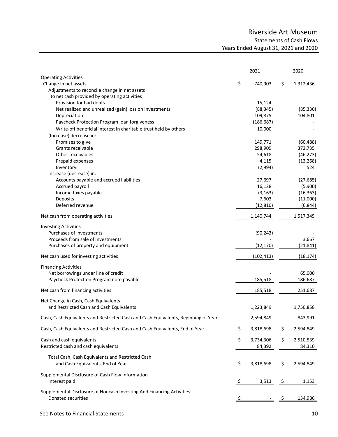## Riverside Art Museum Statements of Cash Flows Years Ended August 31, 2021 and 2020

<span id="page-11-0"></span>

|                                                                                    |     | 2021       | 2020 |           |  |
|------------------------------------------------------------------------------------|-----|------------|------|-----------|--|
| <b>Operating Activities</b>                                                        |     |            |      |           |  |
| Change in net assets                                                               | \$  | 740,903    | \$   | 1,312,436 |  |
| Adjustments to reconcile change in net assets                                      |     |            |      |           |  |
| to net cash provided by operating activities                                       |     |            |      |           |  |
| Provision for bad debts                                                            |     | 15,124     |      |           |  |
| Net realized and unrealized (gain) loss on investments                             |     | (88, 345)  |      | (85, 330) |  |
| Depreciation                                                                       |     | 109,875    |      | 104,801   |  |
| Paycheck Protection Program Ioan forgiveness                                       |     | (186, 687) |      |           |  |
| Write-off beneficial interest in charitable trust held by others                   |     | 10,000     |      |           |  |
| (Increase) decrease in:                                                            |     |            |      |           |  |
| Promises to give                                                                   |     | 149,771    |      | (60, 488) |  |
| Grants receivable                                                                  |     | 298,909    |      | 372,735   |  |
| Other receivables                                                                  |     | 54,618     |      | (46, 273) |  |
| Prepaid expenses                                                                   |     | 4,115      |      | (13, 268) |  |
| Inventory                                                                          |     | (2,994)    |      | 524       |  |
| Increase (decrease) in:                                                            |     |            |      |           |  |
| Accounts payable and accrued liabilities                                           |     | 27,697     |      | (27, 685) |  |
| Accrued payroll                                                                    |     | 16,128     |      | (5,900)   |  |
| Income taxes payable                                                               |     | (3, 163)   |      | (16, 363) |  |
| Deposits                                                                           |     | 7,603      |      | (11,000)  |  |
| Deferred revenue                                                                   |     | (12, 810)  |      | (6, 844)  |  |
| Net cash from operating activities                                                 |     | 1,140,744  |      | 1,517,345 |  |
| <b>Investing Activities</b>                                                        |     |            |      |           |  |
| Purchases of investments                                                           |     | (90, 243)  |      |           |  |
| Proceeds from sale of investments                                                  |     |            |      | 3,667     |  |
| Purchases of property and equipment                                                |     | (12, 170)  |      | (21, 841) |  |
|                                                                                    |     |            |      |           |  |
| Net cash used for investing activities                                             |     | (102, 413) |      | (18, 174) |  |
| <b>Financing Activities</b>                                                        |     |            |      |           |  |
| Net borrowings under line of credit                                                |     |            |      | 65,000    |  |
| Paycheck Protection Program note payable                                           |     | 185,518    |      | 186,687   |  |
| Net cash from financing activities                                                 |     | 185,518    |      | 251,687   |  |
| Net Change in Cash, Cash Equivalents                                               |     |            |      |           |  |
| and Restricted Cash and Cash Equivalents                                           |     | 1,223,849  |      | 1,750,858 |  |
| Cash, Cash Equivalents and Restricted Cash and Cash Equivalents, Beginning of Year |     |            |      |           |  |
|                                                                                    |     | 2,594,849  |      | 843,991   |  |
| Cash, Cash Equivalents and Restricted Cash and Cash Equivalents, End of Year       | \$. | 3,818,698  | \$.  | 2,594,849 |  |
| Cash and cash equivalents                                                          | \$  | 3,734,306  | \$   | 2,510,539 |  |
| Restricted cash and cash equivalents                                               |     | 84,392     |      | 84,310    |  |
| Total Cash, Cash Equivalents and Restricted Cash                                   |     |            |      |           |  |
| and Cash Equivalents, End of Year                                                  | \$  | 3,818,698  | \$   | 2,594,849 |  |
|                                                                                    |     |            |      |           |  |
| Supplemental Disclosure of Cash Flow Information                                   |     |            |      |           |  |
| Interest paid                                                                      | -Ş  | 3,513      | -\$  | 1,153     |  |
| Supplemental Disclosure of Noncash Investing And Financing Activities:             |     |            |      |           |  |
| Donated securities                                                                 |     |            |      | 134,986   |  |
|                                                                                    |     |            |      |           |  |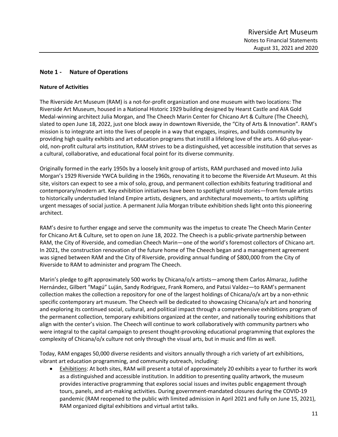### <span id="page-12-0"></span>**Note 1 - Nature of Operations**

### **Nature of Activities**

The Riverside Art Museum (RAM) is a not-for-profit organization and one museum with two locations: The Riverside Art Museum, housed in a National Historic 1929 building designed by Hearst Castle and AIA Gold Medal-winning architect Julia Morgan, and The Cheech Marin Center for Chicano Art & Culture (The Cheech), slated to open June 18, 2022, just one block away in downtown Riverside, the "City of Arts & Innovation". RAM's mission is to integrate art into the lives of people in a way that engages, inspires, and builds community by providing high quality exhibits and art education programs that instill a lifelong love of the arts. A 60-plus-yearold, non-profit cultural arts institution, RAM strives to be a distinguished, yet accessible institution that serves as a cultural, collaborative, and educational focal point for its diverse community.

Originally formed in the early 1950s by a loosely knit group of artists, RAM purchased and moved into Julia Morgan's 1929 Riverside YWCA building in the 1960s, renovating it to become the Riverside Art Museum. At this site, visitors can expect to see a mix of solo, group, and permanent collection exhibits featuring traditional and contemporary/modern art. Key exhibition initiatives have been to spotlight untold stories—from female artists to historically understudied Inland Empire artists, designers, and architectural movements, to artists uplifting urgent messages of social justice. A permanent Julia Morgan tribute exhibition sheds light onto this pioneering architect.

RAM's desire to further engage and serve the community was the impetus to create The Cheech Marin Center for Chicano Art & Culture, set to open on June 18, 2022. The Cheech is a public-private partnership between RAM, the City of Riverside, and comedian Cheech Marin—one of the world's foremost collectors of Chicano art. In 2021, the construction renovation of the future home of The Cheech began and a management agreement was signed between RAM and the City of Riverside, providing annual funding of \$800,000 from the City of Riverside to RAM to administer and program The Cheech.

Marin's pledge to gift approximately 500 works by Chicana/o/x artists—among them Carlos Almaraz, Judithe Hernández, Gilbert "Magú" Luján, Sandy Rodriguez, Frank Romero, and Patssi Valdez—to RAM's permanent collection makes the collection a repository for one of the largest holdings of Chicana/o/x art by a non-ethnic specific contemporary art museum. The Cheech will be dedicated to showcasing Chicana/o/x art and honoring and exploring its continued social, cultural, and political impact through a comprehensive exhibitions program of the permanent collection, temporary exhibitions organized at the center, and nationally touring exhibitions that align with the center's vision. The Cheech will continue to work collaboratively with community partners who were integral to the capital campaign to present thought-provoking educational programming that explores the complexity of Chicana/o/x culture not only through the visual arts, but in music and film as well.

Today, RAM engages 50,000 diverse residents and visitors annually through a rich variety of art exhibitions, vibrant art education programming, and community outreach, including:

**Exhibitions:** At both sites, RAM will present a total of approximately 20 exhibits a year to further its work as a distinguished and accessible institution. In addition to presenting quality artwork, the museum provides interactive programming that explores social issues and invites public engagement through tours, panels, and art-making activities. During government-mandated closures during the COVID-19 pandemic (RAM reopened to the public with limited admission in April 2021 and fully on June 15, 2021), RAM organized digital exhibitions and virtual artist talks.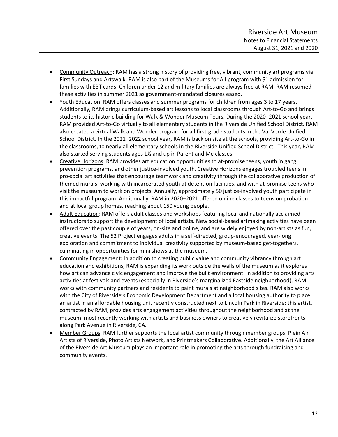- Community Outreach: RAM has a strong history of providing free, vibrant, community art programs via First Sundays and Artswalk. RAM is also part of the Museums for All program with \$1 admission for families with EBT cards. Children under 12 and military families are always free at RAM. RAM resumed these activities in summer 2021 as government-mandated closures eased.
- Youth Education: RAM offers classes and summer programs for children from ages 3 to 17 years. Additionally, RAM brings curriculum-based art lessons to local classrooms through Art-to-Go and brings students to its historic building for Walk & Wonder Museum Tours. During the 2020–2021 school year, RAM provided Art-to-Go virtually to all elementary students in the Riverside Unified School District. RAM also created a virtual Walk and Wonder program for all first-grade students in the Val Verde Unified School District. In the 2021–2022 school year, RAM is back on site at the schools, providing Art-to-Go in the classrooms, to nearly all elementary schools in the Riverside Unified School District. This year, RAM also started serving students ages 1½ and up in Parent and Me classes.
- Creative Horizons: RAM provides art education opportunities to at-promise teens, youth in gang prevention programs, and other justice-involved youth. Creative Horizons engages troubled teens in pro-social art activities that encourage teamwork and creativity through the collaborative production of themed murals, working with incarcerated youth at detention facilities, and with at-promise teens who visit the museum to work on projects. Annually, approximately 50 justice-involved youth participate in this impactful program. Additionally, RAM in 2020–2021 offered online classes to teens on probation and at local group homes, reaching about 150 young people.
- Adult Education: RAM offers adult classes and workshops featuring local and nationally acclaimed instructors to support the development of local artists. New social-based artmaking activities have been offered over the past couple of years, on-site and online, and are widely enjoyed by non-artists as fun, creative events. The 52 Project engages adults in a self-directed, group-encouraged, year-long exploration and commitment to individual creativity supported by museum-based get-togethers, culminating in opportunities for mini shows at the museum.
- Community Engagement: In addition to creating public value and community vibrancy through art education and exhibitions, RAM is expanding its work outside the walls of the museum as it explores how art can advance civic engagement and improve the built environment. In addition to providing arts activities at festivals and events (especially in Riverside's marginalized Eastside neighborhood), RAM works with community partners and residents to paint murals at neighborhood sites. RAM also works with the City of Riverside's Economic Development Department and a local housing authority to place an artist in an affordable housing unit recently constructed next to Lincoln Park in Riverside; this artist, contracted by RAM, provides arts engagement activities throughout the neighborhood and at the museum, most recently working with artists and business owners to creatively revitalize storefronts along Park Avenue in Riverside, CA.
- Member Groups: RAM further supports the local artist community through member groups: Plein Air Artists of Riverside, Photo Artists Network, and Printmakers Collaborative. Additionally, the Art Alliance of the Riverside Art Museum plays an important role in promoting the arts through fundraising and community events.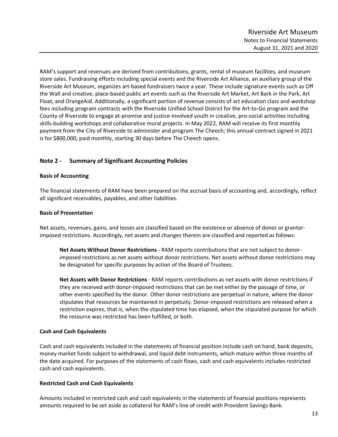RAM's support and revenues are derived from contributions, grants, rental of museum facilities, and museum store sales. Fundraising efforts including special events and the Riverside Art Alliance, an auxiliary group of the Riverside Art Museum, organizes art-based fundraisers twice a year. These include signature events such as Off the Wall and creative, place-based public art events such as the Riverside Art Market, Art Bark in the Park, Art Float, and OrangeAid. Additionally, a significant portion of revenue consists of art education class and workshop fees including program contracts with the Riverside Unified School District for the Art-to-Go program and the County of Riverside to engage at-promise and justice-involved youth in creative, pro-social activities including skills-building workshops and collaborative mural projects. In May 2022, RAM will receive its first monthly payment from the City of Riverside to administer and program The Cheech; this annual contract signed in 2021 is for \$800,000, paid monthly, starting 30 days before The Cheech opens.

## **Note 2 - Summary of Significant Accounting Policies**

#### **Basis of Accounting**

The financial statements of RAM have been prepared on the accrual basis of accounting and, accordingly, reflect all significant receivables, payables, and other liabilities.

#### **Basis of Presentation**

Net assets, revenues, gains, and losses are classified based on the existence or absence of donor or grantorimposed restrictions. Accordingly, net assets and changes therein are classified and reported as follows:

**Net Assets Without Donor Restrictions** - RAM reports contributions that are not subject to donorimposed restrictions as net assets without donor restrictions. Net assets without donor restrictions may be designated for specific purposes by action of the Board of Trustees.

**Net Assets with Donor Restrictions** - RAM reports contributions as net assets with donor restrictions if they are received with donor-imposed restrictions that can be met either by the passage of time, or other events specified by the donor. Other donor restrictions are perpetual in nature, where the donor stipulates that resources be maintained in perpetuity. Donor-imposed restrictions are released when a restriction expires, that is, when the stipulated time has elapsed, when the stipulated purpose for which the resource was restricted has been fulfilled, or both.

#### **Cash and Cash Equivalents**

Cash and cash equivalents included in the statements of financial position include cash on hand, bank deposits, money market funds subject to withdrawal, and liquid debt instruments, which mature within three months of the date acquired. For purposes of the statements of cash flows, cash and cash equivalents includes restricted cash and cash equivalents.

#### **Restricted Cash and Cash Equivalents**

Amounts included in restricted cash and cash equivalents in the statements of financial positions represents amounts required to be set aside as collateral for RAM's line of credit with Provident Savings Bank.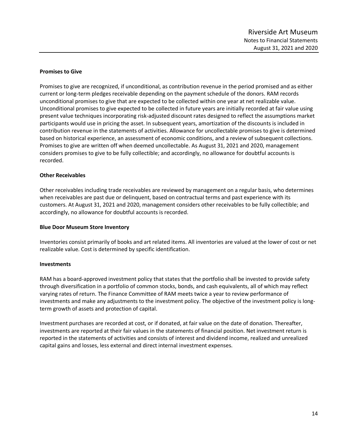### **Promises to Give**

Promises to give are recognized, if unconditional, as contribution revenue in the period promised and as either current or long-term pledges receivable depending on the payment schedule of the donors. RAM records unconditional promises to give that are expected to be collected within one year at net realizable value. Unconditional promises to give expected to be collected in future years are initially recorded at fair value using present value techniques incorporating risk-adjusted discount rates designed to reflect the assumptions market participants would use in pricing the asset. In subsequent years, amortization of the discounts is included in contribution revenue in the statements of activities. Allowance for uncollectable promises to give is determined based on historical experience, an assessment of economic conditions, and a review of subsequent collections. Promises to give are written off when deemed uncollectable. As August 31, 2021 and 2020, management considers promises to give to be fully collectible; and accordingly, no allowance for doubtful accounts is recorded.

#### **Other Receivables**

Other receivables including trade receivables are reviewed by management on a regular basis, who determines when receivables are past due or delinquent, based on contractual terms and past experience with its customers. At August 31, 2021 and 2020, management considers other receivables to be fully collectible; and accordingly, no allowance for doubtful accounts is recorded.

### **Blue Door Museum Store Inventory**

Inventories consist primarily of books and art related items. All inventories are valued at the lower of cost or net realizable value. Cost is determined by specific identification.

### **Investments**

RAM has a board-approved investment policy that states that the portfolio shall be invested to provide safety through diversification in a portfolio of common stocks, bonds, and cash equivalents, all of which may reflect varying rates of return. The Finance Committee of RAM meets twice a year to review performance of investments and make any adjustments to the investment policy. The objective of the investment policy is longterm growth of assets and protection of capital.

Investment purchases are recorded at cost, or if donated, at fair value on the date of donation. Thereafter, investments are reported at their fair values in the statements of financial position. Net investment return is reported in the statements of activities and consists of interest and dividend income, realized and unrealized capital gains and losses, less external and direct internal investment expenses.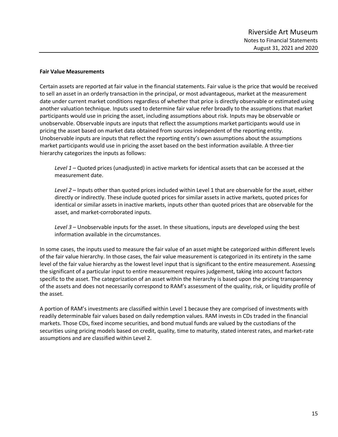#### **Fair Value Measurements**

Certain assets are reported at fair value in the financial statements. Fair value is the price that would be received to sell an asset in an orderly transaction in the principal, or most advantageous, market at the measurement date under current market conditions regardless of whether that price is directly observable or estimated using another valuation technique. Inputs used to determine fair value refer broadly to the assumptions that market participants would use in pricing the asset, including assumptions about risk. Inputs may be observable or unobservable. Observable inputs are inputs that reflect the assumptions market participants would use in pricing the asset based on market data obtained from sources independent of the reporting entity. Unobservable inputs are inputs that reflect the reporting entity's own assumptions about the assumptions market participants would use in pricing the asset based on the best information available. A three-tier hierarchy categorizes the inputs as follows:

*Level 1* – Quoted prices (unadjusted) in active markets for identical assets that can be accessed at the measurement date.

*Level 2* – Inputs other than quoted prices included within Level 1 that are observable for the asset, either directly or indirectly. These include quoted prices for similar assets in active markets, quoted prices for identical or similar assets in inactive markets, inputs other than quoted prices that are observable for the asset, and market-corroborated inputs.

*Level 3* – Unobservable inputs for the asset. In these situations, inputs are developed using the best information available in the circumstances.

In some cases, the inputs used to measure the fair value of an asset might be categorized within different levels of the fair value hierarchy. In those cases, the fair value measurement is categorized in its entirety in the same level of the fair value hierarchy as the lowest level input that is significant to the entire measurement. Assessing the significant of a particular input to entire measurement requires judgement, taking into account factors specific to the asset. The categorization of an asset within the hierarchy is based upon the pricing transparency of the assets and does not necessarily correspond to RAM's assessment of the quality, risk, or liquidity profile of the asset.

A portion of RAM's investments are classified within Level 1 because they are comprised of investments with readily determinable fair values based on daily redemption values. RAM invests in CDs traded in the financial markets. Those CDs, fixed income securities, and bond mutual funds are valued by the custodians of the securities using pricing models based on credit, quality, time to maturity, stated interest rates, and market-rate assumptions and are classified within Level 2.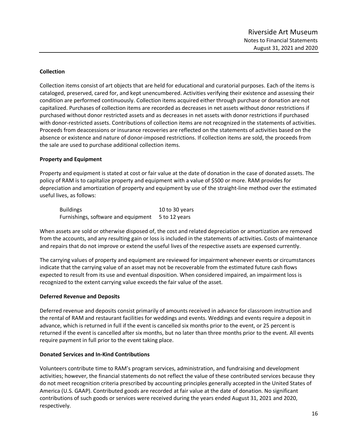### **Collection**

Collection items consist of art objects that are held for educational and curatorial purposes. Each of the items is cataloged, preserved, cared for, and kept unencumbered. Activities verifying their existence and assessing their condition are performed continuously. Collection items acquired either through purchase or donation are not capitalized. Purchases of collection items are recorded as decreases in net assets without donor restrictions if purchased without donor restricted assets and as decreases in net assets with donor restrictions if purchased with donor-restricted assets. Contributions of collection items are not recognized in the statements of activities. Proceeds from deaccessions or insurance recoveries are reflected on the statements of activities based on the absence or existence and nature of donor-imposed restrictions. If collection items are sold, the proceeds from the sale are used to purchase additional collection items.

#### **Property and Equipment**

Property and equipment is stated at cost or fair value at the date of donation in the case of donated assets. The policy of RAM is to capitalize property and equipment with a value of \$500 or more. RAM provides for depreciation and amortization of property and equipment by use of the straight-line method over the estimated useful lives, as follows:

| <b>Buildings</b>                    | 10 to 30 years |
|-------------------------------------|----------------|
| Furnishings, software and equipment | 5 to 12 years  |

When assets are sold or otherwise disposed of, the cost and related depreciation or amortization are removed from the accounts, and any resulting gain or loss is included in the statements of activities. Costs of maintenance and repairs that do not improve or extend the useful lives of the respective assets are expensed currently.

The carrying values of property and equipment are reviewed for impairment whenever events or circumstances indicate that the carrying value of an asset may not be recoverable from the estimated future cash flows expected to result from its use and eventual disposition. When considered impaired, an impairment loss is recognized to the extent carrying value exceeds the fair value of the asset.

#### **Deferred Revenue and Deposits**

Deferred revenue and deposits consist primarily of amounts received in advance for classroom instruction and the rental of RAM and restaurant facilities for weddings and events. Weddings and events require a deposit in advance, which is returned in full if the event is cancelled six months prior to the event, or 25 percent is returned if the event is cancelled after six months, but no later than three months prior to the event. All events require payment in full prior to the event taking place.

#### **Donated Services and In-Kind Contributions**

Volunteers contribute time to RAM's program services, administration, and fundraising and development activities; however, the financial statements do not reflect the value of these contributed services because they do not meet recognition criteria prescribed by accounting principles generally accepted in the United States of America (U.S. GAAP). Contributed goods are recorded at fair value at the date of donation. No significant contributions of such goods or services were received during the years ended August 31, 2021 and 2020, respectively.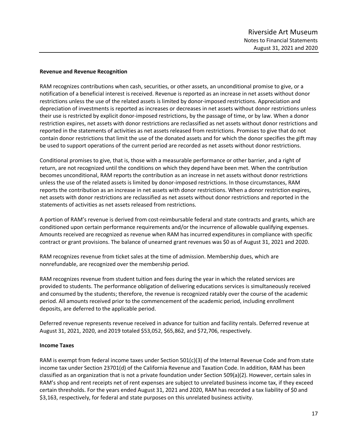#### **Revenue and Revenue Recognition**

RAM recognizes contributions when cash, securities, or other assets, an unconditional promise to give, or a notification of a beneficial interest is received. Revenue is reported as an increase in net assets without donor restrictions unless the use of the related assets is limited by donor-imposed restrictions. Appreciation and depreciation of investments is reported as increases or decreases in net assets without donor restrictions unless their use is restricted by explicit donor-imposed restrictions, by the passage of time, or by law. When a donor restriction expires, net assets with donor restrictions are reclassified as net assets without donor restrictions and reported in the statements of activities as net assets released from restrictions. Promises to give that do not contain donor restrictions that limit the use of the donated assets and for which the donor specifies the gift may be used to support operations of the current period are recorded as net assets without donor restrictions.

Conditional promises to give, that is, those with a measurable performance or other barrier, and a right of return, are not recognized until the conditions on which they depend have been met. When the contribution becomes unconditional, RAM reports the contribution as an increase in net assets without donor restrictions unless the use of the related assets is limited by donor-imposed restrictions. In those circumstances, RAM reports the contribution as an increase in net assets with donor restrictions. When a donor restriction expires, net assets with donor restrictions are reclassified as net assets without donor restrictions and reported in the statements of activities as net assets released from restrictions.

A portion of RAM's revenue is derived from cost-reimbursable federal and state contracts and grants, which are conditioned upon certain performance requirements and/or the incurrence of allowable qualifying expenses. Amounts received are recognized as revenue when RAM has incurred expenditures in compliance with specific contract or grant provisions. The balance of unearned grant revenues was \$0 as of August 31, 2021 and 2020.

RAM recognizes revenue from ticket sales at the time of admission. Membership dues, which are nonrefundable, are recognized over the membership period.

RAM recognizes revenue from student tuition and fees during the year in which the related services are provided to students. The performance obligation of delivering educations services is simultaneously received and consumed by the students; therefore, the revenue is recognized ratably over the course of the academic period. All amounts received prior to the commencement of the academic period, including enrollment deposits, are deferred to the applicable period.

Deferred revenue represents revenue received in advance for tuition and facility rentals. Deferred revenue at August 31, 2021, 2020, and 2019 totaled \$53,052, \$65,862, and \$72,706, respectively.

#### **Income Taxes**

RAM is exempt from federal income taxes under Section 501(c)(3) of the Internal Revenue Code and from state income tax under Section 23701(d) of the California Revenue and Taxation Code. In addition, RAM has been classified as an organization that is not a private foundation under Section 509(a)(2). However, certain sales in RAM's shop and rent receipts net of rent expenses are subject to unrelated business income tax, if they exceed certain thresholds. For the years ended August 31, 2021 and 2020, RAM has recorded a tax liability of \$0 and \$3,163, respectively, for federal and state purposes on this unrelated business activity.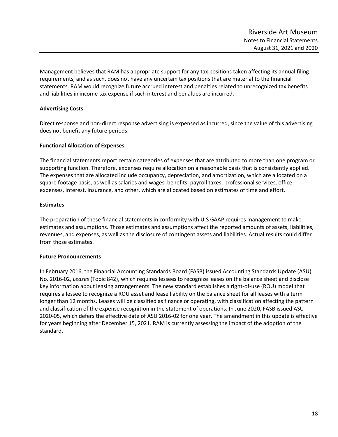Management believes that RAM has appropriate support for any tax positions taken affecting its annual filing requirements, and as such, does not have any uncertain tax positions that are material to the financial statements. RAM would recognize future accrued interest and penalties related to unrecognized tax benefits and liabilities in income tax expense if such interest and penalties are incurred.

### **Advertising Costs**

Direct response and non-direct response advertising is expensed as incurred, since the value of this advertising does not benefit any future periods.

#### **Functional Allocation of Expenses**

The financial statements report certain categories of expenses that are attributed to more than one program or supporting function. Therefore, expenses require allocation on a reasonable basis that is consistently applied. The expenses that are allocated include occupancy, depreciation, and amortization, which are allocated on a square footage basis, as well as salaries and wages, benefits, payroll taxes, professional services, office expenses, interest, insurance, and other, which are allocated based on estimates of time and effort.

#### **Estimates**

The preparation of these financial statements in conformity with U.S GAAP requires management to make estimates and assumptions. Those estimates and assumptions affect the reported amounts of assets, liabilities, revenues, and expenses, as well as the disclosure of contingent assets and liabilities. Actual results could differ from those estimates.

#### **Future Pronouncements**

In February 2016, the Financial Accounting Standards Board (FASB) issued Accounting Standards Update (ASU) No. 2016-02, *Leases* (Topic 842), which requires lessees to recognize leases on the balance sheet and disclose key information about leasing arrangements. The new standard establishes a right-of-use (ROU) model that requires a lessee to recognize a ROU asset and lease liability on the balance sheet for all leases with a term longer than 12 months. Leases will be classified as finance or operating, with classification affecting the pattern and classification of the expense recognition in the statement of operations. In June 2020, FASB issued ASU 2020-05, which defers the effective date of ASU 2016-02 for one year. The amendment in this update is effective for years beginning after December 15, 2021. RAM is currently assessing the impact of the adoption of the standard.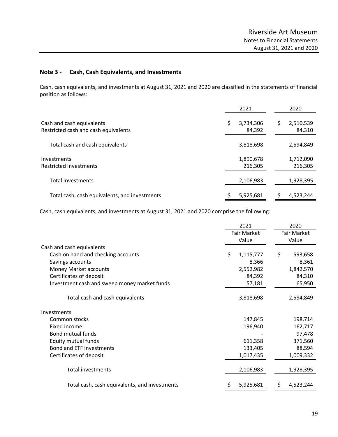### **Note 3 - Cash, Cash Equivalents, and Investments**

Cash, cash equivalents, and investments at August 31, 2021 and 2020 are classified in the statements of financial position as follows:

|                                                                   | 2021                     | 2020                      |
|-------------------------------------------------------------------|--------------------------|---------------------------|
| Cash and cash equivalents<br>Restricted cash and cash equivalents | 3,734,306<br>S<br>84,392 | Ś.<br>2,510,539<br>84,310 |
| Total cash and cash equivalents                                   | 3,818,698                | 2,594,849                 |
| Investments<br>Restricted investments                             | 1,890,678<br>216,305     | 1,712,090<br>216,305      |
| <b>Total investments</b>                                          | 2,106,983                | 1,928,395                 |
| Total cash, cash equivalents, and investments                     | 5,925,681                | 4,523,244                 |

Cash, cash equivalents, and investments at August 31, 2021 and 2020 comprise the following:

|                                               | 2021 |                    |    | 2020               |
|-----------------------------------------------|------|--------------------|----|--------------------|
|                                               |      | <b>Fair Market</b> |    | <b>Fair Market</b> |
|                                               |      | Value              |    | Value              |
| Cash and cash equivalents                     |      |                    |    |                    |
| Cash on hand and checking accounts            | \$   | 1,115,777          | \$ | 593,658            |
| Savings accounts                              |      | 8,366              |    | 8,361              |
| Money Market accounts                         |      | 2,552,982          |    | 1,842,570          |
| Certificates of deposit                       |      | 84,392             |    | 84,310             |
| Investment cash and sweep money market funds  |      | 57,181             |    | 65,950             |
| Total cash and cash equivalents               |      | 3,818,698          |    | 2,594,849          |
| Investments                                   |      |                    |    |                    |
| Common stocks                                 |      | 147,845            |    | 198,714            |
| Fixed income                                  |      | 196,940            |    | 162,717            |
| Bond mutual funds                             |      |                    |    | 97,478             |
| Equity mutual funds                           |      | 611,358            |    | 371,560            |
| Bond and ETF investments                      |      | 133,405            |    | 88,594             |
| Certificates of deposit                       |      | 1,017,435          |    | 1,009,332          |
| Total investments                             |      | 2,106,983          |    | 1,928,395          |
| Total cash, cash equivalents, and investments | \$   | 5,925,681          | \$ | 4,523,244          |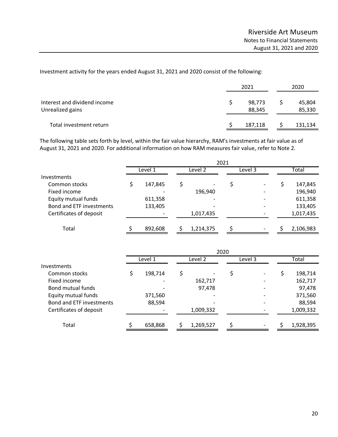Investment activity for the years ended August 31, 2021 and 2020 consist of the following:

|                                                  | 2021             | 2020             |  |
|--------------------------------------------------|------------------|------------------|--|
| Interest and dividend income<br>Unrealized gains | 98,773<br>88,345 | 45,804<br>85,330 |  |
| Total investment return                          | 187,118          | 131,134          |  |

The following table sets forth by level, within the fair value hierarchy, RAM's investments at fair value as of August 31, 2021 and 2020. For additional information on how RAM measures fair value, refer to Note 2.

|                          | 2021    |  |                          |  |         |  |           |
|--------------------------|---------|--|--------------------------|--|---------|--|-----------|
|                          | Level 1 |  | Level 2                  |  | Level 3 |  | Total     |
| Investments              |         |  |                          |  |         |  |           |
| Common stocks            | 147,845 |  | ٠                        |  |         |  | 147,845   |
| Fixed income             |         |  | 196,940                  |  |         |  | 196,940   |
| Equity mutual funds      | 611,358 |  | $\overline{\phantom{a}}$ |  |         |  | 611,358   |
| Bond and ETF investments | 133,405 |  |                          |  |         |  | 133,405   |
| Certificates of deposit  |         |  | 1,017,435                |  |         |  | 1,017,435 |
|                          |         |  |                          |  |         |  |           |
| Total                    | 892,608 |  | 1,214,375                |  | -       |  | 2,106,983 |

|                                 |         |                          | 2020 |         |           |
|---------------------------------|---------|--------------------------|------|---------|-----------|
|                                 | Level 1 | Level 2                  |      | Level 3 | Total     |
| Investments                     |         |                          |      |         |           |
| Common stocks                   | 198,714 |                          |      |         | 198,714   |
| Fixed income                    |         | 162,717                  |      |         | 162,717   |
| Bond mutual funds               |         | 97,478                   |      |         | 97,478    |
| Equity mutual funds             | 371,560 | $\overline{\phantom{a}}$ |      |         | 371,560   |
| <b>Bond and ETF investments</b> | 88,594  |                          |      |         | 88,594    |
| Certificates of deposit         |         | 1,009,332                |      |         | 1,009,332 |
| Total                           | 658,868 | 1,269,527                |      |         | 1,928,395 |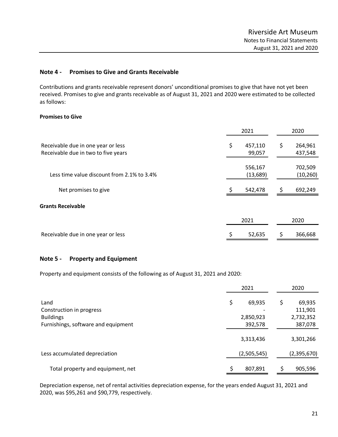### **Note 4 - Promises to Give and Grants Receivable**

Contributions and grants receivable represent donors' unconditional promises to give that have not yet been received. Promises to give and grants receivable as of August 31, 2021 and 2020 were estimated to be collected as follows:

#### **Promises to Give**

|                                                                           | 2021                    |    | 2020                 |  |  |
|---------------------------------------------------------------------------|-------------------------|----|----------------------|--|--|
| Receivable due in one year or less<br>Receivable due in two to five years | \$<br>457,110<br>99,057 | \$ | 264,961<br>437,548   |  |  |
| Less time value discount from 2.1% to 3.4%                                | 556,167<br>(13, 689)    |    | 702,509<br>(10, 260) |  |  |
| Net promises to give                                                      | 542,478                 | Ś  | 692,249              |  |  |
| <b>Grants Receivable</b>                                                  |                         |    |                      |  |  |
|                                                                           | 2021                    |    | 2020                 |  |  |

Receivable due in one year or less  $\frac{5}{5}$   $\frac{52,635}{5}$   $\frac{5}{5}$   $\frac{366,668}{5}$ 

# **Note 5 - Property and Equipment**

Property and equipment consists of the following as of August 31, 2021 and 2020:

|                                     | 2021         | 2020          |  |
|-------------------------------------|--------------|---------------|--|
| Land                                | \$<br>69,935 | \$<br>69,935  |  |
| Construction in progress            |              | 111,901       |  |
| <b>Buildings</b>                    | 2,850,923    | 2,732,352     |  |
| Furnishings, software and equipment | 392,578      | 387,078       |  |
|                                     | 3,313,436    | 3,301,266     |  |
| Less accumulated depreciation       | (2,505,545)  | (2,395,670)   |  |
| Total property and equipment, net   | 807,891      | \$<br>905,596 |  |

Depreciation expense, net of rental activities depreciation expense, for the years ended August 31, 2021 and 2020, was \$95,261 and \$90,779, respectively.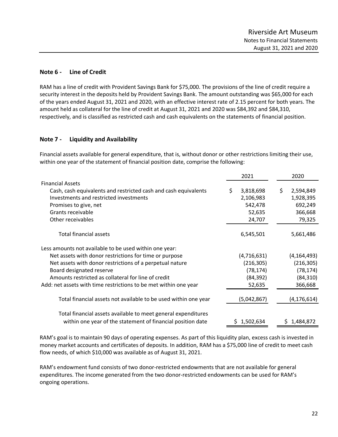## **Note 6 - Line of Credit**

RAM has a line of credit with Provident Savings Bank for \$75,000. The provisions of the line of credit require a security interest in the deposits held by Provident Savings Bank. The amount outstanding was \$65,000 for each of the years ended August 31, 2021 and 2020, with an effective interest rate of 2.15 percent for both years. The amount held as collateral for the line of credit at August 31, 2021 and 2020 was \$84,392 and \$84,310, respectively, and is classified as restricted cash and cash equivalents on the statements of financial position.

### **Note 7 - Liquidity and Availability**

Financial assets available for general expenditure, that is, without donor or other restrictions limiting their use, within one year of the statement of financial position date, comprise the following:

|                                                                  |    | 2021        | 2020            |
|------------------------------------------------------------------|----|-------------|-----------------|
| <b>Financial Assets</b>                                          |    |             |                 |
| Cash, cash equivalents and restricted cash and cash equivalents  | S. | 3,818,698   | \$<br>2,594,849 |
| Investments and restricted investments                           |    | 2,106,983   | 1,928,395       |
| Promises to give, net                                            |    | 542,478     | 692,249         |
| Grants receivable                                                |    | 52,635      | 366,668         |
| Other receivables                                                |    | 24,707      | 79,325          |
| Total financial assets                                           |    | 6,545,501   | 5,661,486       |
| Less amounts not available to be used within one year:           |    |             |                 |
| Net assets with donor restrictions for time or purpose           |    | (4,716,631) | (4, 164, 493)   |
| Net assets with donor restrictions of a perpetual nature         |    | (216, 305)  | (216, 305)      |
| Board designated reserve                                         |    | (78, 174)   | (78, 174)       |
| Amounts restricted as collateral for line of credit              |    | (84, 392)   | (84, 310)       |
| Add: net assets with time restrictions to be met within one year |    | 52,635      | 366,668         |
| Total financial assets not available to be used within one year  |    | (5,042,867) | (4, 176, 614)   |
| Total financial assets available to meet general expenditures    |    |             |                 |
| within one year of the statement of financial position date      |    | \$1,502,634 | 1,484,872       |

RAM's goal is to maintain 90 days of operating expenses. As part of this liquidity plan, excess cash is invested in money market accounts and certificates of deposits. In addition, RAM has a \$75,000 line of credit to meet cash flow needs, of which \$10,000 was available as of August 31, 2021.

RAM's endowment fund consists of two donor-restricted endowments that are not available for general expenditures. The income generated from the two donor-restricted endowments can be used for RAM's ongoing operations.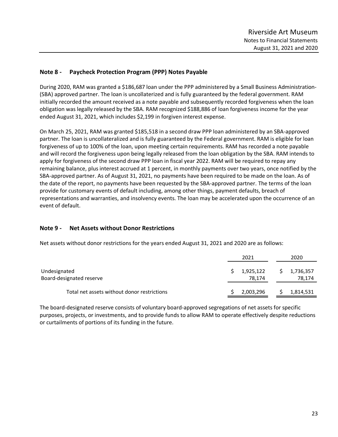## **Note 8 - Paycheck Protection Program (PPP) Notes Payable**

During 2020, RAM was granted a \$186,687 loan under the PPP administered by a Small Business Administration- (SBA) approved partner. The loan is uncollaterized and is fully guaranteed by the federal government. RAM initially recorded the amount received as a note payable and subsequently recorded forgiveness when the loan obligation was legally released by the SBA. RAM recognized \$188,886 of loan forgiveness income for the year ended August 31, 2021, which includes \$2,199 in forgiven interest expense.

On March 25, 2021, RAM was granted \$185,518 in a second draw PPP loan administered by an SBA-approved partner. The loan is uncollateralized and is fully guaranteed by the Federal government. RAM is eligible for loan forgiveness of up to 100% of the loan, upon meeting certain requirements. RAM has recorded a note payable and will record the forgiveness upon being legally released from the loan obligation by the SBA. RAM intends to apply for forgiveness of the second draw PPP loan in fiscal year 2022. RAM will be required to repay any remaining balance, plus interest accrued at 1 percent, in monthly payments over two years, once notified by the SBA-approved partner. As of August 31, 2021, no payments have been required to be made on the loan. As of the date of the report, no payments have been requested by the SBA-approved partner. The terms of the loan provide for customary events of default including, among other things, payment defaults, breach of representations and warranties, and insolvency events. The loan may be accelerated upon the occurrence of an event of default.

### **Note 9 - Net Assets without Donor Restrictions**

Net assets without donor restrictions for the years ended August 31, 2021 and 2020 are as follows:

|                                             | 2021                | 2020                |
|---------------------------------------------|---------------------|---------------------|
| Undesignated<br>Board-designated reserve    | 1,925,122<br>78,174 | 1,736,357<br>78,174 |
| Total net assets without donor restrictions | 2,003,296           | 1,814,531           |

The board-designated reserve consists of voluntary board-approved segregations of net assets for specific purposes, projects, or investments, and to provide funds to allow RAM to operate effectively despite reductions or curtailments of portions of its funding in the future.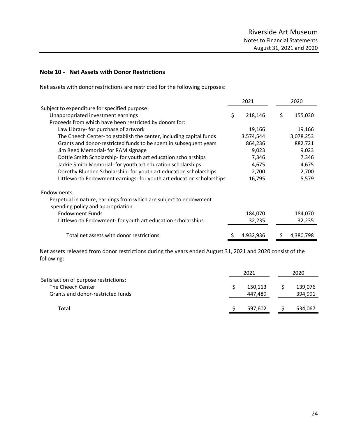### **Note 10 - Net Assets with Donor Restrictions**

Net assets with donor restrictions are restricted for the following purposes:

|                                                                                                        | 2021 |           | 2020          |  |
|--------------------------------------------------------------------------------------------------------|------|-----------|---------------|--|
| Subject to expenditure for specified purpose:                                                          |      |           |               |  |
| Unappropriated investment earnings                                                                     | \$   | 218,146   | \$<br>155,030 |  |
| Proceeds from which have been restricted by donors for:                                                |      |           |               |  |
| Law Library- for purchase of artwork                                                                   |      | 19,166    | 19,166        |  |
| The Cheech Center-to establish the center, including capital funds                                     |      | 3,574,544 | 3,078,253     |  |
| Grants and donor-restricted funds to be spent in subsequent years                                      |      | 864,236   | 882,721       |  |
| Jim Reed Memorial- for RAM signage                                                                     |      | 9,023     | 9,023         |  |
| Dottie Smith Scholarship- for youth art education scholarships                                         |      | 7,346     | 7,346         |  |
| Jackie Smith Memorial- for youth art education scholarships                                            |      | 4,675     | 4,675         |  |
| Dorothy Blunden Scholarship- for youth art education scholarships                                      |      | 2,700     | 2,700         |  |
| Littleworth Endowment earnings- for youth art education scholarships                                   |      | 16,795    | 5,579         |  |
| Endowments:                                                                                            |      |           |               |  |
| Perpetual in nature, earnings from which are subject to endowment<br>spending policy and appropriation |      |           |               |  |
| <b>Endowment Funds</b>                                                                                 |      | 184,070   | 184,070       |  |
| Littleworth Endowment- for youth art education scholarships                                            |      | 32,235    | 32,235        |  |
| Total net assets with donor restrictions                                                               |      | 4,932,936 | 4,380,798     |  |

Net assets released from donor restrictions during the years ended August 31, 2021 and 2020 consist of the following:

|                                                                                                 | 2021               | 2020 |                    |
|-------------------------------------------------------------------------------------------------|--------------------|------|--------------------|
| Satisfaction of purpose restrictions:<br>The Cheech Center<br>Grants and donor-restricted funds | 150,113<br>447.489 |      | 139,076<br>394,991 |
| Total                                                                                           | 597,602            |      | 534,067            |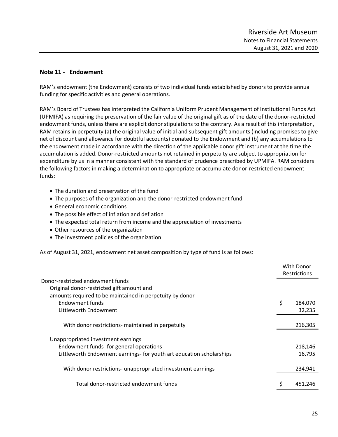## **Note 11 - Endowment**

RAM's endowment (the Endowment) consists of two individual funds established by donors to provide annual funding for specific activities and general operations.

RAM's Board of Trustees has interpreted the California Uniform Prudent Management of Institutional Funds Act (UPMIFA) as requiring the preservation of the fair value of the original gift as of the date of the donor-restricted endowment funds, unless there are explicit donor stipulations to the contrary. As a result of this interpretation, RAM retains in perpetuity (a) the original value of initial and subsequent gift amounts (including promises to give net of discount and allowance for doubtful accounts) donated to the Endowment and (b) any accumulations to the endowment made in accordance with the direction of the applicable donor gift instrument at the time the accumulation is added. Donor-restricted amounts not retained in perpetuity are subject to appropriation for expenditure by us in a manner consistent with the standard of prudence prescribed by UPMIFA. RAM considers the following factors in making a determination to appropriate or accumulate donor-restricted endowment funds:

- The duration and preservation of the fund
- The purposes of the organization and the donor-restricted endowment fund
- General economic conditions
- The possible effect of inflation and deflation
- The expected total return from income and the appreciation of investments
- Other resources of the organization
- The investment policies of the organization

As of August 31, 2021, endowment net asset composition by type of fund is as follows:

|                                                                               | With Donor<br><b>Restrictions</b> |
|-------------------------------------------------------------------------------|-----------------------------------|
| Donor-restricted endowment funds<br>Original donor-restricted gift amount and |                                   |
| amounts required to be maintained in perpetuity by donor                      |                                   |
| Endowment funds                                                               | \$<br>184,070                     |
| Littleworth Endowment                                                         | 32,235                            |
| With donor restrictions- maintained in perpetuity                             | 216,305                           |
| Unappropriated investment earnings                                            |                                   |
| Endowment funds- for general operations                                       | 218,146                           |
| Littleworth Endowment earnings- for youth art education scholarships          | 16,795                            |
| With donor restrictions- unappropriated investment earnings                   | 234,941                           |
| Total donor-restricted endowment funds                                        | 451.246                           |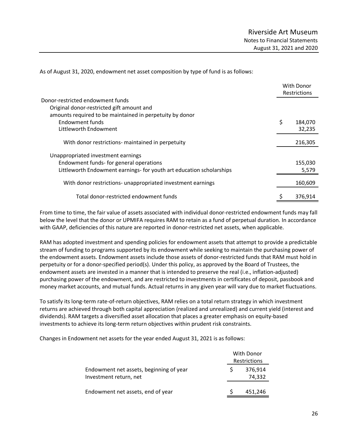As of August 31, 2020, endowment net asset composition by type of fund is as follows:

|                                                                      | <b>With Donor</b><br><b>Restrictions</b> |         |
|----------------------------------------------------------------------|------------------------------------------|---------|
| Donor-restricted endowment funds                                     |                                          |         |
| Original donor-restricted gift amount and                            |                                          |         |
| amounts required to be maintained in perpetuity by donor             |                                          |         |
| Endowment funds                                                      | \$                                       | 184,070 |
| Littleworth Endowment                                                |                                          | 32,235  |
| With donor restrictions- maintained in perpetuity                    |                                          | 216,305 |
| Unappropriated investment earnings                                   |                                          |         |
| Endowment funds- for general operations                              |                                          | 155,030 |
| Littleworth Endowment earnings- for youth art education scholarships |                                          | 5,579   |
| With donor restrictions- unappropriated investment earnings          |                                          | 160,609 |
| Total donor-restricted endowment funds                               | \$                                       | 376,914 |

From time to time, the fair value of assets associated with individual donor-restricted endowment funds may fall below the level that the donor or UPMIFA requires RAM to retain as a fund of perpetual duration. In accordance with GAAP, deficiencies of this nature are reported in donor-restricted net assets, when applicable.

RAM has adopted investment and spending policies for endowment assets that attempt to provide a predictable stream of funding to programs supported by its endowment while seeking to maintain the purchasing power of the endowment assets. Endowment assets include those assets of donor-restricted funds that RAM must hold in perpetuity or for a donor-specified period(s). Under this policy, as approved by the Board of Trustees, the endowment assets are invested in a manner that is intended to preserve the real (i.e., inflation-adjusted) purchasing power of the endowment, and are restricted to investments in certificates of deposit, passbook and money market accounts, and mutual funds. Actual returns in any given year will vary due to market fluctuations.

To satisfy its long-term rate-of-return objectives, RAM relies on a total return strategy in which investment returns are achieved through both capital appreciation (realized and unrealized) and current yield (interest and dividends). RAM targets a diversified asset allocation that places a greater emphasis on equity-based investments to achieve its long-term return objectives within prudent risk constraints.

Changes in Endowment net assets for the year ended August 31, 2021 is as follows:

|                                                                   |  | With Donor<br>Restrictions |                   |  |  |
|-------------------------------------------------------------------|--|----------------------------|-------------------|--|--|
| Endowment net assets, beginning of year<br>Investment return, net |  |                            | 376,914<br>74,332 |  |  |
| Endowment net assets, end of year                                 |  |                            | 451,246           |  |  |